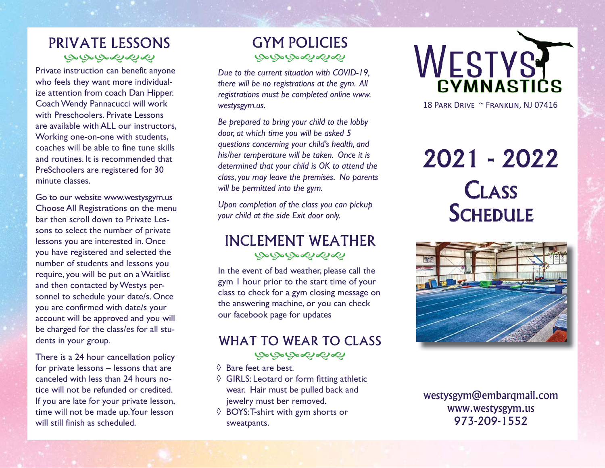# PRIVATE LESSONSಅಅಅಳಿಸಳ

Private instruction can benefit anyone who feels they want more individualize attention from coach Dan Hipper. Coach Wendy Pannacucci will work with Preschoolers. Private Lessons are available with ALL our instructors, Working one-on-one with students, coaches will be able to fine tune skills and routines. It is recommended that PreSchoolers are registered for 30 minute classes.

Go to our website www.westysgym.us Choose All Registrations on the menu bar then scroll down to Private Lessons to select the number of private lessons you are interested in. Once you have registered and selected the number of students and lessons you require, you will be put on a Waitlist and then contacted by Westys personnel to schedule your date/s. Once you are confirmed with date/s your account will be approved and you will be charged for the class/es for all students in your group.

There is a 24 hour cancellation policy for private lessons – lessons that are canceled with less than 24 hours notice will not be refunded or credited. If you are late for your private lesson, time will not be made up. Your lesson will still finish as scheduled.

# GYM POLICIESبهبهبهمها

*Due to the current situation with COVID-19, there will be no registrations at the gym. All registrations must be completed online www. westysgym.us.* 

*Be prepared to bring your child to the lobby door, at which time you will be asked 5 questions concerning your child's health, and his/her temperature will be taken. Once it is determined that your child is OK to attend the class, you may leave the premises. No parents will be permitted into the gym.*

*Upon completion of the class you can pickup your child at the side Exit door only.*

## INCLEMENT WEATHERبصبصت مصطاحها

In the event of bad weather, please call the gym 1 hour prior to the start time of your class to check for a gym closing message on the answering machine, or you can check our facebook page for updates

# WHAT TO WEAR TO CLASSبهبهبهمها

- ◊ Bare feet are best.
- $\Diamond$  GIRLS: Leotard or form fitting athletic wear. Hair must be pulled back and jewelry must ber removed.
- ◊ BOYS: T-shirt with gym shorts or sweatpants.



18 PARK DRIVE ~ FRANKLIN, NJ 07416

# 2021 - 2022 **CLASS** SCHEDULE



westysgym@embarqmail.com www.westysgym.us 973-209-1552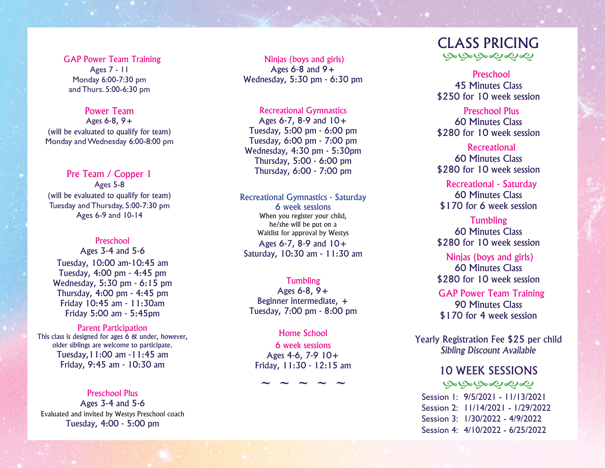GAP Power Team Training Ages 7 - 11 Monday 6:00-7:30 pm and Thurs. 5:00-6:30 pm

#### Power Team

Ages 6-8, 9+ (will be evaluated to qualify for team) Monday and Wednesday 6:00-8:00 pm

## Pre Team / Copper 1

Ages 5-8 (will be evaluated to qualify for team) Tuesday and Thursday, 5:00-7:30 pm Ages 6-9 and 10-14

#### Preschool

Ages 3-4 and 5-6 Tuesday, 10:00 am-10:45 am Tuesday, 4:00 pm - 4:45 pm Wednesday, 5:30 pm - 6:15 pm Thursday, 4:00 pm - 4:45 pm Friday 10:45 am - 11:30am Friday 5:00 am - 5:45pm

#### Parent Participation

This class is designed for ages 6 & under, however, older siblings are welcome to participate. Tuesday,11:00 am -11:45 am Friday, 9:45 am - 10:30 am

Preschool Plus

Ages 3-4 and 5-6 Evaluated and invited by Westys Preschool coach Tuesday, 4:00 - 5:00 pm

 Ninjas (boys and girls) Ages  $6-8$  and  $9+$ Wednesday, 5:30 pm - 6:30 pm

#### Recreational Gymnastics

Ages  $6-7$ ,  $8-9$  and  $10+$ Tuesday, 5:00 pm - 6:00 pm Tuesday, 6:00 pm - 7:00 pm Wednesday, 4:30 pm - 5:30pm Thursday, 5:00 - 6:00 pm Thursday, 6:00 - 7:00 pm

Recreational Gymnastics - Saturday 6 week sessionsWhen you register your child, he/she will be put on a Waitlist for approval by Westys Ages 6-7, 8-9 and 10+

Saturday, 10:30 am - 11:30 am

#### Tumbling

Ages 6-8, 9+ Beginner intermediate, + Tuesday, 7:00 pm - 8:00 pm

Home School6 week sessionsAges 4-6, 7-9 10+ Friday, 11:30 - 12:15 am

**~ ~ ~ ~ ~**

# CLASS PRICINGبهبهبهمها

Preschool45 Minutes Class\$250 for 10 week session

Preschool Plus60 Minutes Class\$280 for 10 week session

## **Recreational** 60 Minutes Class\$280 for 10 week session

Recreational - Saturday 60 Minutes Class\$170 for 6 week session

Tumbling 60 Minutes Class\$280 for 10 week session

#### Ninjas (boys and girls) 60 Minutes Class

\$280 for 10 week session

GAP Power Team Training 90 Minutes Class\$170 for 4 week session

Yearly Registration Fee \$25 per child *Sibling Discount Available*

## 10 WEEK SESSIONS

### يهيهبهمونه

 Session 1: 9/5/2021 - 11/13/2021 Session 2: 11/14/2021 - 1/29/2022Session 3: 1/30/2022 - 4/9/2022 Session 4: 4/10/2022 - 6/25/2022